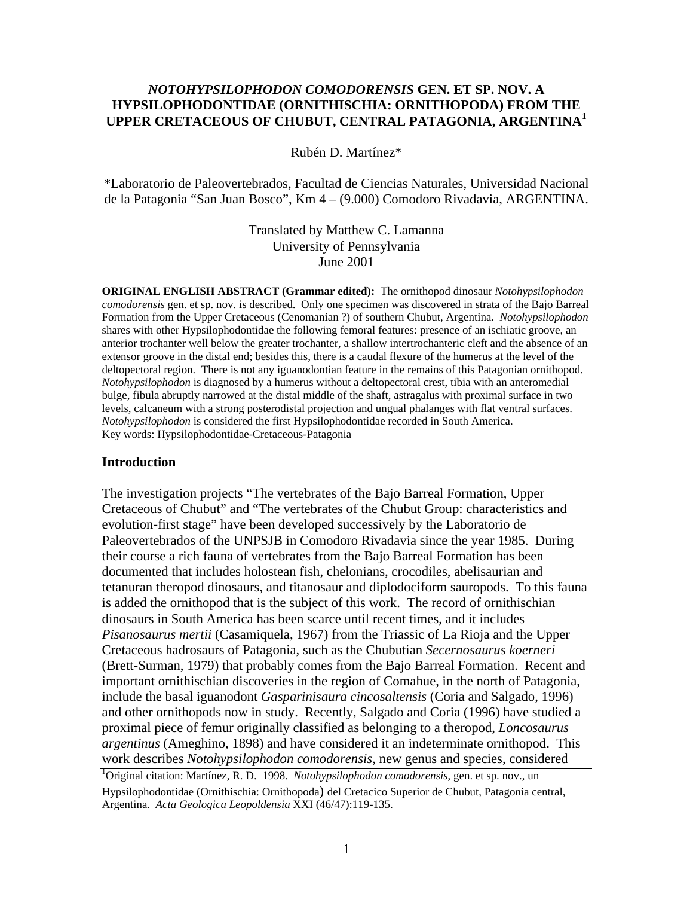## *NOTOHYPSILOPHODON COMODORENSIS* **GEN. ET SP. NOV. A HYPSILOPHODONTIDAE (ORNITHISCHIA: ORNITHOPODA) FROM THE UPPER CRETACEOUS OF CHUBUT, CENTRAL PATAGONIA, ARGENTINA<sup>1</sup>**

Rubén D. Martínez\*

\*Laboratorio de Paleovertebrados, Facultad de Ciencias Naturales, Universidad Nacional de la Patagonia "San Juan Bosco", Km 4 – (9.000) Comodoro Rivadavia, ARGENTINA.

> Translated by Matthew C. Lamanna University of Pennsylvania June 2001

**ORIGINAL ENGLISH ABSTRACT (Grammar edited):** The ornithopod dinosaur *Notohypsilophodon comodorensis* gen. et sp. nov. is described. Only one specimen was discovered in strata of the Bajo Barreal Formation from the Upper Cretaceous (Cenomanian ?) of southern Chubut, Argentina. *Notohypsilophodon* shares with other Hypsilophodontidae the following femoral features: presence of an ischiatic groove, an anterior trochanter well below the greater trochanter, a shallow intertrochanteric cleft and the absence of an extensor groove in the distal end; besides this, there is a caudal flexure of the humerus at the level of the deltopectoral region. There is not any iguanodontian feature in the remains of this Patagonian ornithopod. *Notohypsilophodon* is diagnosed by a humerus without a deltopectoral crest, tibia with an anteromedial bulge, fibula abruptly narrowed at the distal middle of the shaft, astragalus with proximal surface in two levels, calcaneum with a strong posterodistal projection and ungual phalanges with flat ventral surfaces. *Notohypsilophodon* is considered the first Hypsilophodontidae recorded in South America. Key words: Hypsilophodontidae-Cretaceous-Patagonia

#### **Introduction**

The investigation projects "The vertebrates of the Bajo Barreal Formation, Upper Cretaceous of Chubut" and "The vertebrates of the Chubut Group: characteristics and evolution-first stage" have been developed successively by the Laboratorio de Paleovertebrados of the UNPSJB in Comodoro Rivadavia since the year 1985. During their course a rich fauna of vertebrates from the Bajo Barreal Formation has been documented that includes holostean fish, chelonians, crocodiles, abelisaurian and tetanuran theropod dinosaurs, and titanosaur and diplodociform sauropods. To this fauna is added the ornithopod that is the subject of this work. The record of ornithischian dinosaurs in South America has been scarce until recent times, and it includes *Pisanosaurus mertii* (Casamiquela, 1967) from the Triassic of La Rioja and the Upper Cretaceous hadrosaurs of Patagonia, such as the Chubutian *Secernosaurus koerneri* (Brett-Surman, 1979) that probably comes from the Bajo Barreal Formation. Recent and important ornithischian discoveries in the region of Comahue, in the north of Patagonia, include the basal iguanodont *Gasparinisaura cincosaltensis* (Coria and Salgado, 1996) and other ornithopods now in study. Recently, Salgado and Coria (1996) have studied a proximal piece of femur originally classified as belonging to a theropod, *Loncosaurus argentinus* (Ameghino, 1898) and have considered it an indeterminate ornithopod. This work describes *Notohypsilophodon comodorensis*, new genus and species, considered

<sup>&</sup>lt;sup>1</sup>Original citation: Martínez, R. D. 1998. *Notohypsilophodon comodorensis*, gen. et sp. nov., un Hypsilophodontidae (Ornithischia: Ornithopoda) del Cretacico Superior de Chubut, Patagonia central, Argentina. *Acta Geologica Leopoldensia* XXI (46/47):119-135.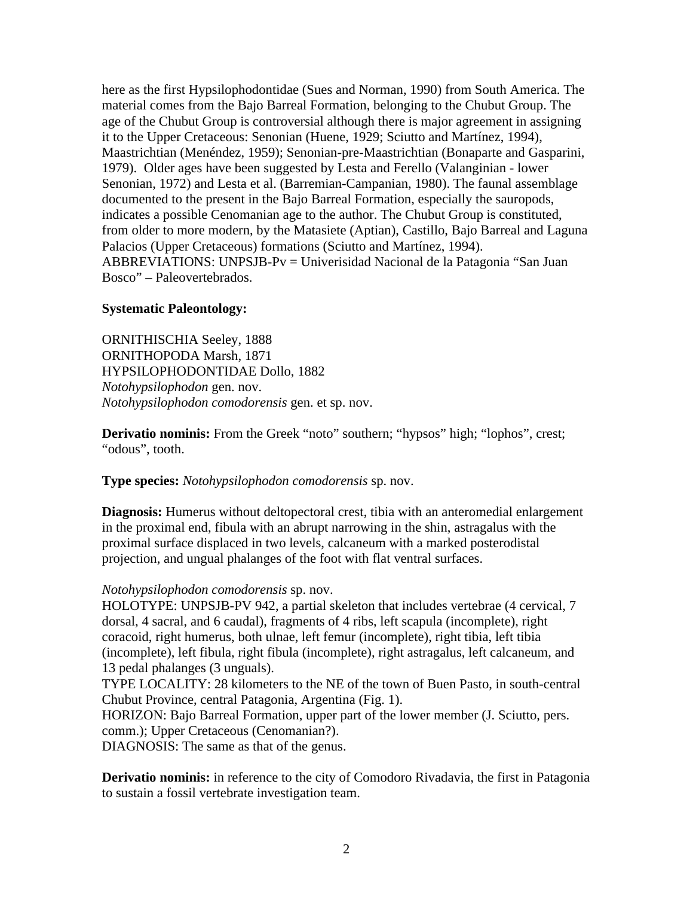here as the first Hypsilophodontidae (Sues and Norman, 1990) from South America. The material comes from the Bajo Barreal Formation, belonging to the Chubut Group. The age of the Chubut Group is controversial although there is major agreement in assigning it to the Upper Cretaceous: Senonian (Huene, 1929; Sciutto and Martínez, 1994), Maastrichtian (Menéndez, 1959); Senonian-pre-Maastrichtian (Bonaparte and Gasparini, 1979). Older ages have been suggested by Lesta and Ferello (Valanginian - lower Senonian, 1972) and Lesta et al. (Barremian-Campanian, 1980). The faunal assemblage documented to the present in the Bajo Barreal Formation, especially the sauropods, indicates a possible Cenomanian age to the author. The Chubut Group is constituted, from older to more modern, by the Matasiete (Aptian), Castillo, Bajo Barreal and Laguna Palacios (Upper Cretaceous) formations (Sciutto and Martínez, 1994). ABBREVIATIONS: UNPSJB-Pv = Univerisidad Nacional de la Patagonia "San Juan Bosco" – Paleovertebrados.

#### **Systematic Paleontology:**

ORNITHISCHIA Seeley, 1888 ORNITHOPODA Marsh, 1871 HYPSILOPHODONTIDAE Dollo, 1882 *Notohypsilophodon* gen. nov. *Notohypsilophodon comodorensis* gen. et sp. nov.

**Derivatio nominis:** From the Greek "noto" southern; "hypsos" high; "lophos", crest; "odous", tooth.

#### **Type species:** *Notohypsilophodon comodorensis* sp. nov.

**Diagnosis:** Humerus without deltopectoral crest, tibia with an anteromedial enlargement in the proximal end, fibula with an abrupt narrowing in the shin, astragalus with the proximal surface displaced in two levels, calcaneum with a marked posterodistal projection, and ungual phalanges of the foot with flat ventral surfaces.

#### *Notohypsilophodon comodorensis* sp. nov.

HOLOTYPE: UNPSJB-PV 942, a partial skeleton that includes vertebrae (4 cervical, 7 dorsal, 4 sacral, and 6 caudal), fragments of 4 ribs, left scapula (incomplete), right coracoid, right humerus, both ulnae, left femur (incomplete), right tibia, left tibia (incomplete), left fibula, right fibula (incomplete), right astragalus, left calcaneum, and 13 pedal phalanges (3 unguals).

TYPE LOCALITY: 28 kilometers to the NE of the town of Buen Pasto, in south-central Chubut Province, central Patagonia, Argentina (Fig. 1).

HORIZON: Bajo Barreal Formation, upper part of the lower member (J. Sciutto, pers. comm.); Upper Cretaceous (Cenomanian?).

DIAGNOSIS: The same as that of the genus.

**Derivatio nominis:** in reference to the city of Comodoro Rivadavia, the first in Patagonia to sustain a fossil vertebrate investigation team.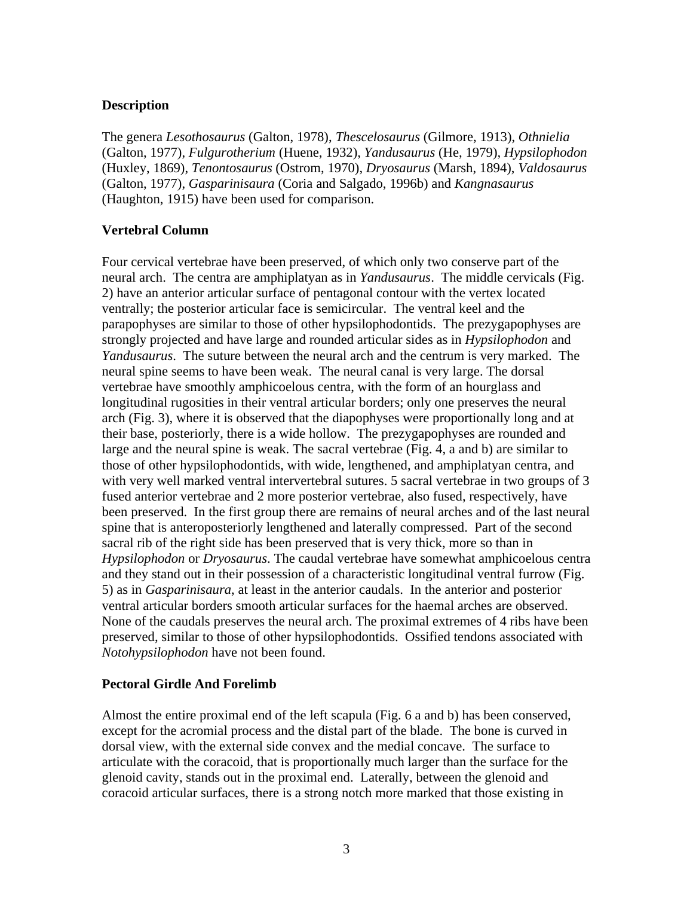## **Description**

The genera *Lesothosaurus* (Galton, 1978), *Thescelosaurus* (Gilmore, 1913), *Othnielia* (Galton, 1977), *Fulgurotherium* (Huene, 1932), *Yandusaurus* (He, 1979), *Hypsilophodon* (Huxley, 1869), *Tenontosaurus* (Ostrom, 1970), *Dryosaurus* (Marsh, 1894), *Valdosaurus* (Galton, 1977), *Gasparinisaura* (Coria and Salgado, 1996b) and *Kangnasaurus* (Haughton, 1915) have been used for comparison.

## **Vertebral Column**

Four cervical vertebrae have been preserved, of which only two conserve part of the neural arch. The centra are amphiplatyan as in *Yandusaurus*. The middle cervicals (Fig. 2) have an anterior articular surface of pentagonal contour with the vertex located ventrally; the posterior articular face is semicircular. The ventral keel and the parapophyses are similar to those of other hypsilophodontids. The prezygapophyses are strongly projected and have large and rounded articular sides as in *Hypsilophodon* and *Yandusaurus*. The suture between the neural arch and the centrum is very marked. The neural spine seems to have been weak. The neural canal is very large. The dorsal vertebrae have smoothly amphicoelous centra, with the form of an hourglass and longitudinal rugosities in their ventral articular borders; only one preserves the neural arch (Fig. 3), where it is observed that the diapophyses were proportionally long and at their base, posteriorly, there is a wide hollow. The prezygapophyses are rounded and large and the neural spine is weak. The sacral vertebrae (Fig. 4, a and b) are similar to those of other hypsilophodontids, with wide, lengthened, and amphiplatyan centra, and with very well marked ventral intervertebral sutures. 5 sacral vertebrae in two groups of 3 fused anterior vertebrae and 2 more posterior vertebrae, also fused, respectively, have been preserved. In the first group there are remains of neural arches and of the last neural spine that is anteroposteriorly lengthened and laterally compressed. Part of the second sacral rib of the right side has been preserved that is very thick, more so than in *Hypsilophodon* or *Dryosaurus*. The caudal vertebrae have somewhat amphicoelous centra and they stand out in their possession of a characteristic longitudinal ventral furrow (Fig. 5) as in *Gasparinisaura*, at least in the anterior caudals. In the anterior and posterior ventral articular borders smooth articular surfaces for the haemal arches are observed. None of the caudals preserves the neural arch. The proximal extremes of 4 ribs have been preserved, similar to those of other hypsilophodontids. Ossified tendons associated with *Notohypsilophodon* have not been found.

### **Pectoral Girdle And Forelimb**

Almost the entire proximal end of the left scapula (Fig. 6 a and b) has been conserved, except for the acromial process and the distal part of the blade. The bone is curved in dorsal view, with the external side convex and the medial concave. The surface to articulate with the coracoid, that is proportionally much larger than the surface for the glenoid cavity, stands out in the proximal end. Laterally, between the glenoid and coracoid articular surfaces, there is a strong notch more marked that those existing in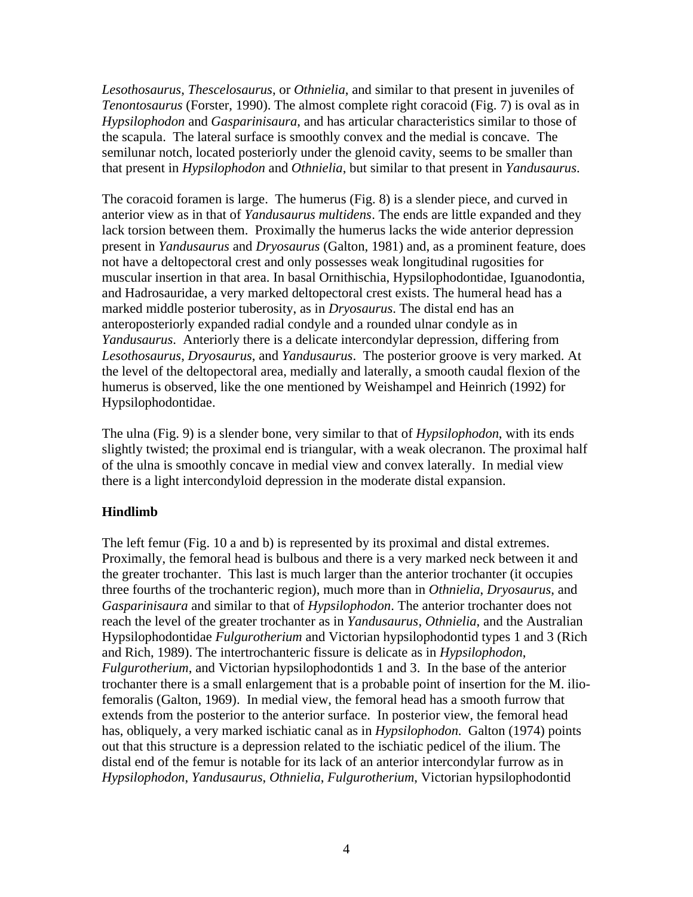*Lesothosaurus*, *Thescelosaurus*, or *Othnielia*, and similar to that present in juveniles of *Tenontosaurus* (Forster, 1990). The almost complete right coracoid (Fig. 7) is oval as in *Hypsilophodon* and *Gasparinisaura*, and has articular characteristics similar to those of the scapula. The lateral surface is smoothly convex and the medial is concave. The semilunar notch, located posteriorly under the glenoid cavity, seems to be smaller than that present in *Hypsilophodon* and *Othnielia*, but similar to that present in *Yandusaurus*.

The coracoid foramen is large. The humerus (Fig. 8) is a slender piece, and curved in anterior view as in that of *Yandusaurus multidens*. The ends are little expanded and they lack torsion between them. Proximally the humerus lacks the wide anterior depression present in *Yandusaurus* and *Dryosaurus* (Galton, 1981) and, as a prominent feature, does not have a deltopectoral crest and only possesses weak longitudinal rugosities for muscular insertion in that area. In basal Ornithischia, Hypsilophodontidae, Iguanodontia, and Hadrosauridae, a very marked deltopectoral crest exists. The humeral head has a marked middle posterior tuberosity, as in *Dryosaurus*. The distal end has an anteroposteriorly expanded radial condyle and a rounded ulnar condyle as in *Yandusaurus*. Anteriorly there is a delicate intercondylar depression, differing from *Lesothosaurus*, *Dryosaurus*, and *Yandusaurus*. The posterior groove is very marked. At the level of the deltopectoral area, medially and laterally, a smooth caudal flexion of the humerus is observed, like the one mentioned by Weishampel and Heinrich (1992) for Hypsilophodontidae.

The ulna (Fig. 9) is a slender bone, very similar to that of *Hypsilophodon*, with its ends slightly twisted; the proximal end is triangular, with a weak olecranon. The proximal half of the ulna is smoothly concave in medial view and convex laterally. In medial view there is a light intercondyloid depression in the moderate distal expansion.

### **Hindlimb**

The left femur (Fig. 10 a and b) is represented by its proximal and distal extremes. Proximally, the femoral head is bulbous and there is a very marked neck between it and the greater trochanter. This last is much larger than the anterior trochanter (it occupies three fourths of the trochanteric region), much more than in *Othnielia*, *Dryosaurus*, and *Gasparinisaura* and similar to that of *Hypsilophodon*. The anterior trochanter does not reach the level of the greater trochanter as in *Yandusaurus*, *Othnielia*, and the Australian Hypsilophodontidae *Fulgurotherium* and Victorian hypsilophodontid types 1 and 3 (Rich and Rich, 1989). The intertrochanteric fissure is delicate as in *Hypsilophodon*, *Fulgurotherium*, and Victorian hypsilophodontids 1 and 3. In the base of the anterior trochanter there is a small enlargement that is a probable point of insertion for the M. iliofemoralis (Galton, 1969). In medial view, the femoral head has a smooth furrow that extends from the posterior to the anterior surface. In posterior view, the femoral head has, obliquely, a very marked ischiatic canal as in *Hypsilophodon*. Galton (1974) points out that this structure is a depression related to the ischiatic pedicel of the ilium. The distal end of the femur is notable for its lack of an anterior intercondylar furrow as in *Hypsilophodon*, *Yandusaurus*, *Othnielia*, *Fulgurotherium*, Victorian hypsilophodontid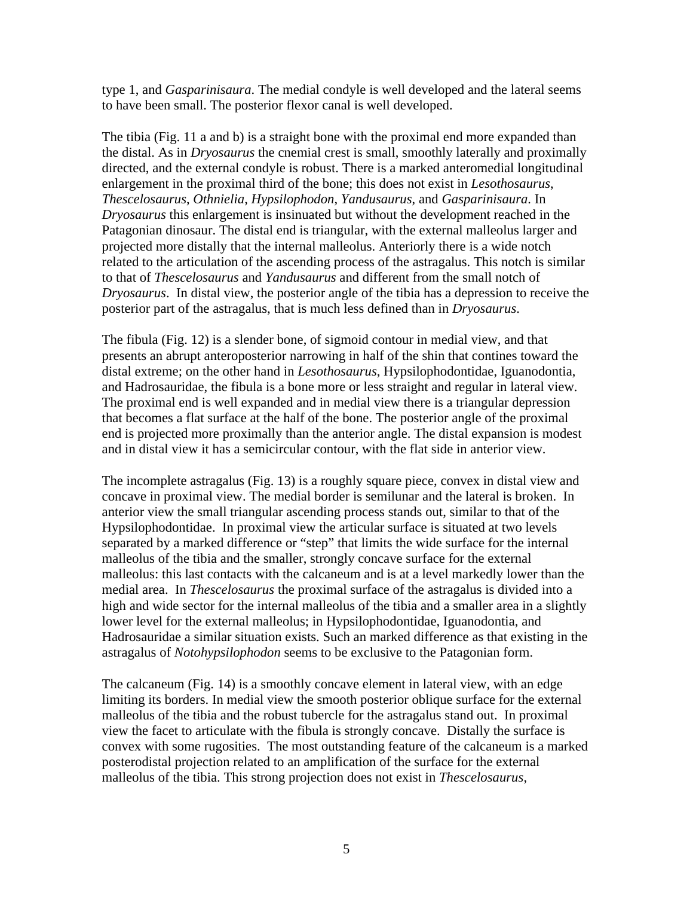type 1, and *Gasparinisaura*. The medial condyle is well developed and the lateral seems to have been small. The posterior flexor canal is well developed.

The tibia (Fig. 11 a and b) is a straight bone with the proximal end more expanded than the distal. As in *Dryosaurus* the cnemial crest is small, smoothly laterally and proximally directed, and the external condyle is robust. There is a marked anteromedial longitudinal enlargement in the proximal third of the bone; this does not exist in *Lesothosaurus*, *Thescelosaurus*, *Othnielia*, *Hypsilophodon*, *Yandusaurus*, and *Gasparinisaura*. In *Dryosaurus* this enlargement is insinuated but without the development reached in the Patagonian dinosaur. The distal end is triangular, with the external malleolus larger and projected more distally that the internal malleolus. Anteriorly there is a wide notch related to the articulation of the ascending process of the astragalus. This notch is similar to that of *Thescelosaurus* and *Yandusaurus* and different from the small notch of *Dryosaurus*. In distal view, the posterior angle of the tibia has a depression to receive the posterior part of the astragalus, that is much less defined than in *Dryosaurus*.

The fibula (Fig. 12) is a slender bone, of sigmoid contour in medial view, and that presents an abrupt anteroposterior narrowing in half of the shin that contines toward the distal extreme; on the other hand in *Lesothosaurus*, Hypsilophodontidae, Iguanodontia, and Hadrosauridae, the fibula is a bone more or less straight and regular in lateral view. The proximal end is well expanded and in medial view there is a triangular depression that becomes a flat surface at the half of the bone. The posterior angle of the proximal end is projected more proximally than the anterior angle. The distal expansion is modest and in distal view it has a semicircular contour, with the flat side in anterior view.

The incomplete astragalus (Fig. 13) is a roughly square piece, convex in distal view and concave in proximal view. The medial border is semilunar and the lateral is broken. In anterior view the small triangular ascending process stands out, similar to that of the Hypsilophodontidae. In proximal view the articular surface is situated at two levels separated by a marked difference or "step" that limits the wide surface for the internal malleolus of the tibia and the smaller, strongly concave surface for the external malleolus: this last contacts with the calcaneum and is at a level markedly lower than the medial area. In *Thescelosaurus* the proximal surface of the astragalus is divided into a high and wide sector for the internal malleolus of the tibia and a smaller area in a slightly lower level for the external malleolus; in Hypsilophodontidae, Iguanodontia, and Hadrosauridae a similar situation exists. Such an marked difference as that existing in the astragalus of *Notohypsilophodon* seems to be exclusive to the Patagonian form.

The calcaneum (Fig. 14) is a smoothly concave element in lateral view, with an edge limiting its borders. In medial view the smooth posterior oblique surface for the external malleolus of the tibia and the robust tubercle for the astragalus stand out. In proximal view the facet to articulate with the fibula is strongly concave. Distally the surface is convex with some rugosities. The most outstanding feature of the calcaneum is a marked posterodistal projection related to an amplification of the surface for the external malleolus of the tibia. This strong projection does not exist in *Thescelosaurus*,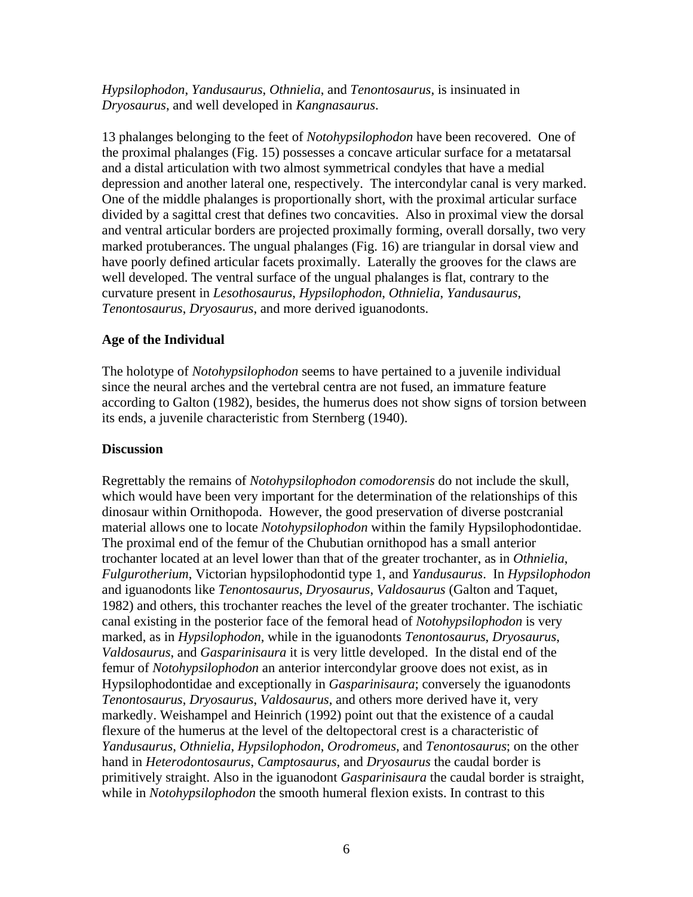*Hypsilophodon*, *Yandusaurus*, *Othnielia*, and *Tenontosaurus*, is insinuated in *Dryosaurus*, and well developed in *Kangnasaurus*.

13 phalanges belonging to the feet of *Notohypsilophodon* have been recovered. One of the proximal phalanges (Fig. 15) possesses a concave articular surface for a metatarsal and a distal articulation with two almost symmetrical condyles that have a medial depression and another lateral one, respectively. The intercondylar canal is very marked. One of the middle phalanges is proportionally short, with the proximal articular surface divided by a sagittal crest that defines two concavities. Also in proximal view the dorsal and ventral articular borders are projected proximally forming, overall dorsally, two very marked protuberances. The ungual phalanges (Fig. 16) are triangular in dorsal view and have poorly defined articular facets proximally. Laterally the grooves for the claws are well developed. The ventral surface of the ungual phalanges is flat, contrary to the curvature present in *Lesothosaurus*, *Hypsilophodon*, *Othnielia*, *Yandusaurus*, *Tenontosaurus*, *Dryosaurus*, and more derived iguanodonts.

## **Age of the Individual**

The holotype of *Notohypsilophodon* seems to have pertained to a juvenile individual since the neural arches and the vertebral centra are not fused, an immature feature according to Galton (1982), besides, the humerus does not show signs of torsion between its ends, a juvenile characteristic from Sternberg (1940).

### **Discussion**

Regrettably the remains of *Notohypsilophodon comodorensis* do not include the skull, which would have been very important for the determination of the relationships of this dinosaur within Ornithopoda. However, the good preservation of diverse postcranial material allows one to locate *Notohypsilophodon* within the family Hypsilophodontidae. The proximal end of the femur of the Chubutian ornithopod has a small anterior trochanter located at an level lower than that of the greater trochanter, as in *Othnielia*, *Fulgurotherium*, Victorian hypsilophodontid type 1, and *Yandusaurus*. In *Hypsilophodon* and iguanodonts like *Tenontosaurus*, *Dryosaurus*, *Valdosaurus* (Galton and Taquet, 1982) and others, this trochanter reaches the level of the greater trochanter. The ischiatic canal existing in the posterior face of the femoral head of *Notohypsilophodon* is very marked, as in *Hypsilophodon*, while in the iguanodonts *Tenontosaurus*, *Dryosaurus*, *Valdosaurus*, and *Gasparinisaura* it is very little developed. In the distal end of the femur of *Notohypsilophodon* an anterior intercondylar groove does not exist, as in Hypsilophodontidae and exceptionally in *Gasparinisaura*; conversely the iguanodonts *Tenontosaurus*, *Dryosaurus*, *Valdosaurus*, and others more derived have it, very markedly. Weishampel and Heinrich (1992) point out that the existence of a caudal flexure of the humerus at the level of the deltopectoral crest is a characteristic of *Yandusaurus*, *Othnielia*, *Hypsilophodon*, *Orodromeus*, and *Tenontosaurus*; on the other hand in *Heterodontosaurus*, *Camptosaurus*, and *Dryosaurus* the caudal border is primitively straight. Also in the iguanodont *Gasparinisaura* the caudal border is straight, while in *Notohypsilophodon* the smooth humeral flexion exists. In contrast to this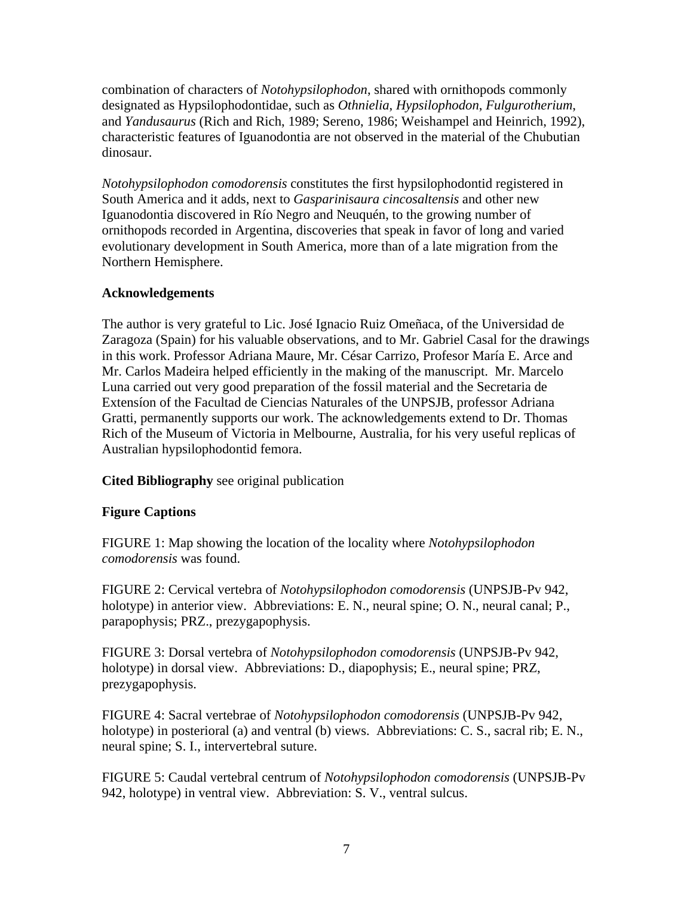combination of characters of *Notohypsilophodon*, shared with ornithopods commonly designated as Hypsilophodontidae, such as *Othnielia*, *Hypsilophodon*, *Fulgurotherium*, and *Yandusaurus* (Rich and Rich, 1989; Sereno, 1986; Weishampel and Heinrich, 1992), characteristic features of Iguanodontia are not observed in the material of the Chubutian dinosaur.

*Notohypsilophodon comodorensis* constitutes the first hypsilophodontid registered in South America and it adds, next to *Gasparinisaura cincosaltensis* and other new Iguanodontia discovered in Río Negro and Neuquén, to the growing number of ornithopods recorded in Argentina, discoveries that speak in favor of long and varied evolutionary development in South America, more than of a late migration from the Northern Hemisphere.

# **Acknowledgements**

The author is very grateful to Lic. José Ignacio Ruiz Omeñaca, of the Universidad de Zaragoza (Spain) for his valuable observations, and to Mr. Gabriel Casal for the drawings in this work. Professor Adriana Maure, Mr. César Carrizo, Profesor María E. Arce and Mr. Carlos Madeira helped efficiently in the making of the manuscript. Mr. Marcelo Luna carried out very good preparation of the fossil material and the Secretaria de Extensíon of the Facultad de Ciencias Naturales of the UNPSJB, professor Adriana Gratti, permanently supports our work. The acknowledgements extend to Dr. Thomas Rich of the Museum of Victoria in Melbourne, Australia, for his very useful replicas of Australian hypsilophodontid femora.

# **Cited Bibliography** see original publication

# **Figure Captions**

FIGURE 1: Map showing the location of the locality where *Notohypsilophodon comodorensis* was found.

FIGURE 2: Cervical vertebra of *Notohypsilophodon comodorensis* (UNPSJB-Pv 942, holotype) in anterior view. Abbreviations: E. N., neural spine; O. N., neural canal; P., parapophysis; PRZ., prezygapophysis.

FIGURE 3: Dorsal vertebra of *Notohypsilophodon comodorensis* (UNPSJB-Pv 942, holotype) in dorsal view. Abbreviations: D., diapophysis; E., neural spine; PRZ, prezygapophysis.

FIGURE 4: Sacral vertebrae of *Notohypsilophodon comodorensis* (UNPSJB-Pv 942, holotype) in posterioral (a) and ventral (b) views. Abbreviations: C. S., sacral rib; E. N., neural spine; S. I., intervertebral suture.

FIGURE 5: Caudal vertebral centrum of *Notohypsilophodon comodorensis* (UNPSJB-Pv 942, holotype) in ventral view. Abbreviation: S. V., ventral sulcus.